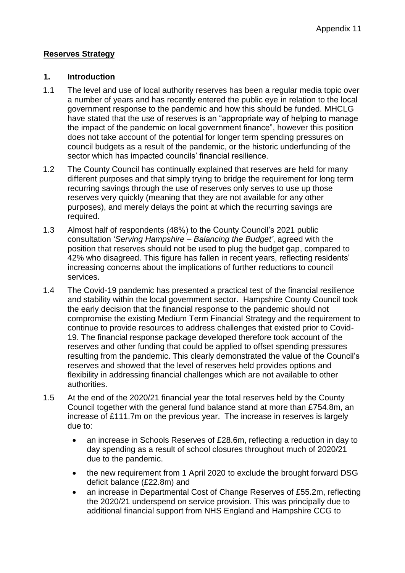### **Reserves Strategy**

#### **1. Introduction**

- 1.1 The level and use of local authority reserves has been a regular media topic over a number of years and has recently entered the public eye in relation to the local government response to the pandemic and how this should be funded. MHCLG have stated that the use of reserves is an "appropriate way of helping to manage the impact of the pandemic on local government finance", however this position does not take account of the potential for longer term spending pressures on council budgets as a result of the pandemic, or the historic underfunding of the sector which has impacted councils' financial resilience.
- 1.2 The County Council has continually explained that reserves are held for many different purposes and that simply trying to bridge the requirement for long term recurring savings through the use of reserves only serves to use up those reserves very quickly (meaning that they are not available for any other purposes), and merely delays the point at which the recurring savings are required.
- 1.3 Almost half of respondents (48%) to the County Council's 2021 public consultation '*Serving Hampshire – Balancing the Budget'*, agreed with the position that reserves should not be used to plug the budget gap, compared to 42% who disagreed. This figure has fallen in recent years, reflecting residents' increasing concerns about the implications of further reductions to council services.
- 1.4 The Covid-19 pandemic has presented a practical test of the financial resilience and stability within the local government sector. Hampshire County Council took the early decision that the financial response to the pandemic should not compromise the existing Medium Term Financial Strategy and the requirement to continue to provide resources to address challenges that existed prior to Covid-19. The financial response package developed therefore took account of the reserves and other funding that could be applied to offset spending pressures resulting from the pandemic. This clearly demonstrated the value of the Council's reserves and showed that the level of reserves held provides options and flexibility in addressing financial challenges which are not available to other authorities.
- 1.5 At the end of the 2020/21 financial year the total reserves held by the County Council together with the general fund balance stand at more than £754.8m, an increase of £111.7m on the previous year. The increase in reserves is largely due to:
	- an increase in Schools Reserves of £28.6m, reflecting a reduction in day to day spending as a result of school closures throughout much of 2020/21 due to the pandemic.
	- the new requirement from 1 April 2020 to exclude the brought forward DSG deficit balance (£22.8m) and
	- an increase in Departmental Cost of Change Reserves of £55.2m, reflecting the 2020/21 underspend on service provision. This was principally due to additional financial support from NHS England and Hampshire CCG to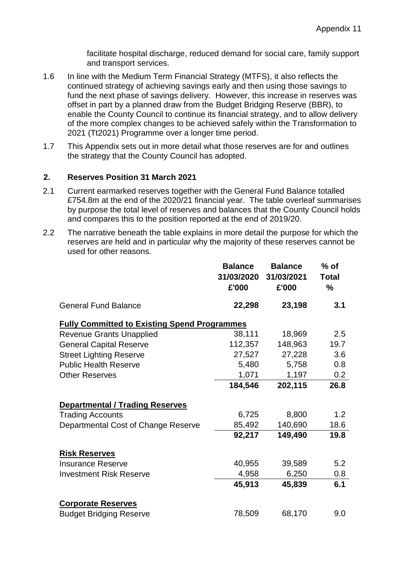facilitate hospital discharge, reduced demand for social care, family support and transport services.

- 1.6 In line with the Medium Term Financial Strategy (MTFS), it also reflects the continued strategy of achieving savings early and then using those savings to fund the next phase of savings delivery. However, this increase in reserves was offset in part by a planned draw from the Budget Bridging Reserve (BBR), to enable the County Council to continue its financial strategy, and to allow delivery of the more complex changes to be achieved safely within the Transformation to 2021 (Tt2021) Programme over a longer time period.
- 1.7 This Appendix sets out in more detail what those reserves are for and outlines the strategy that the County Council has adopted.

#### **2. Reserves Position 31 March 2021**

- 2.1 Current earmarked reserves together with the General Fund Balance totalled £754.8m at the end of the 2020/21 financial year. The table overleaf summarises by purpose the total level of reserves and balances that the County Council holds and compares this to the position reported at the end of 2019/20.
- 2.2 The narrative beneath the table explains in more detail the purpose for which the reserves are held and in particular why the majority of these reserves cannot be used for other reasons.

|                                                     | <b>Balance</b><br>31/03/2020<br>£'000 | <b>Balance</b><br>31/03/2021<br>£'000 | % of<br><b>Total</b><br>% |  |  |
|-----------------------------------------------------|---------------------------------------|---------------------------------------|---------------------------|--|--|
| <b>General Fund Balance</b>                         | 22,298                                | 23,198                                | 3.1                       |  |  |
| <b>Fully Committed to Existing Spend Programmes</b> |                                       |                                       |                           |  |  |
| <b>Revenue Grants Unapplied</b>                     | 38,111                                | 18,969                                | 2.5                       |  |  |
| <b>General Capital Reserve</b>                      | 112,357                               | 148,963                               | 19.7                      |  |  |
| <b>Street Lighting Reserve</b>                      | 27,527                                | 27,228                                | 3.6                       |  |  |
| <b>Public Health Reserve</b>                        | 5,480                                 | 5,758                                 | 0.8                       |  |  |
| <b>Other Reserves</b>                               | 1,071                                 | 1,197                                 | 0.2                       |  |  |
|                                                     | 184,546                               | 202,115                               | 26.8                      |  |  |
| <b>Departmental / Trading Reserves</b>              |                                       |                                       |                           |  |  |
| <b>Trading Accounts</b>                             | 6,725                                 | 8,800                                 | 1.2                       |  |  |
| Departmental Cost of Change Reserve                 | 85,492                                | 140,690                               | 18.6                      |  |  |
|                                                     | 92,217                                | 149,490                               | 19.8                      |  |  |
| <b>Risk Reserves</b>                                |                                       |                                       |                           |  |  |
| <b>Insurance Reserve</b>                            | 40,955                                | 39,589                                | 5.2                       |  |  |
| <b>Investment Risk Reserve</b>                      | 4,958                                 | 6,250                                 | 0.8                       |  |  |
|                                                     | 45,913                                | 45,839                                | 6.1                       |  |  |
| <b>Corporate Reserves</b>                           |                                       |                                       |                           |  |  |
| <b>Budget Bridging Reserve</b>                      | 78,509                                | 68,170                                | 9.0                       |  |  |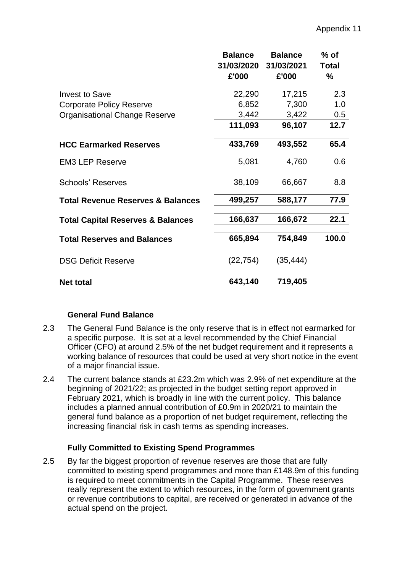|                                              | <b>Balance</b><br>31/03/2020 | <b>Balance</b><br>31/03/2021 | $%$ of<br><b>Total</b> |
|----------------------------------------------|------------------------------|------------------------------|------------------------|
|                                              | £'000                        | £'000                        | %                      |
| Invest to Save                               | 22,290                       | 17,215                       | 2.3                    |
| <b>Corporate Policy Reserve</b>              | 6,852                        | 7,300                        | 1.0                    |
| <b>Organisational Change Reserve</b>         | 3,442                        | 3,422                        | 0.5                    |
|                                              | 111,093                      | 96,107                       | 12.7                   |
| <b>HCC Earmarked Reserves</b>                | 433,769                      | 493,552                      | 65.4                   |
| <b>EM3 LEP Reserve</b>                       | 5,081                        | 4,760                        | 0.6                    |
| <b>Schools' Reserves</b>                     | 38,109                       | 66,667                       | 8.8                    |
| <b>Total Revenue Reserves &amp; Balances</b> | 499,257                      | 588,177                      | 77.9                   |
| <b>Total Capital Reserves &amp; Balances</b> | 166,637                      | 166,672                      | 22.1                   |
| <b>Total Reserves and Balances</b>           | 665,894                      | 754,849                      | 100.0                  |
| <b>DSG Deficit Reserve</b>                   | (22, 754)                    | (35, 444)                    |                        |
| <b>Net total</b>                             | 643,140                      | 719,405                      |                        |

#### **General Fund Balance**

- 2.3 The General Fund Balance is the only reserve that is in effect not earmarked for a specific purpose. It is set at a level recommended by the Chief Financial Officer (CFO) at around 2.5% of the net budget requirement and it represents a working balance of resources that could be used at very short notice in the event of a major financial issue.
- 2.4 The current balance stands at £23.2m which was 2.9% of net expenditure at the beginning of 2021/22; as projected in the budget setting report approved in February 2021, which is broadly in line with the current policy. This balance includes a planned annual contribution of £0.9m in 2020/21 to maintain the general fund balance as a proportion of net budget requirement, reflecting the increasing financial risk in cash terms as spending increases.

# **Fully Committed to Existing Spend Programmes**

2.5 By far the biggest proportion of revenue reserves are those that are fully committed to existing spend programmes and more than £148.9m of this funding is required to meet commitments in the Capital Programme. These reserves really represent the extent to which resources, in the form of government grants or revenue contributions to capital, are received or generated in advance of the actual spend on the project.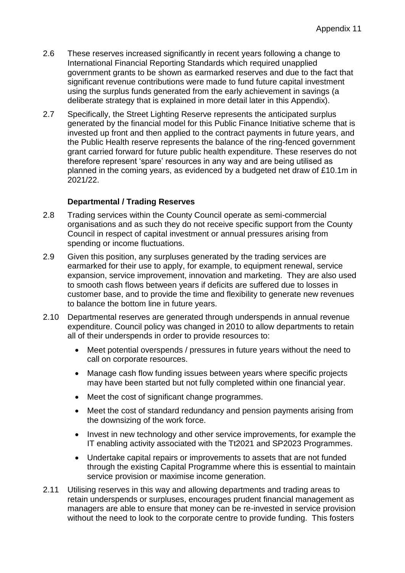- 2.6 These reserves increased significantly in recent years following a change to International Financial Reporting Standards which required unapplied government grants to be shown as earmarked reserves and due to the fact that significant revenue contributions were made to fund future capital investment using the surplus funds generated from the early achievement in savings (a deliberate strategy that is explained in more detail later in this Appendix).
- 2.7 Specifically, the Street Lighting Reserve represents the anticipated surplus generated by the financial model for this Public Finance Initiative scheme that is invested up front and then applied to the contract payments in future years, and the Public Health reserve represents the balance of the ring-fenced government grant carried forward for future public health expenditure. These reserves do not therefore represent 'spare' resources in any way and are being utilised as planned in the coming years, as evidenced by a budgeted net draw of £10.1m in 2021/22.

### **Departmental / Trading Reserves**

- 2.8 Trading services within the County Council operate as semi-commercial organisations and as such they do not receive specific support from the County Council in respect of capital investment or annual pressures arising from spending or income fluctuations.
- 2.9 Given this position, any surpluses generated by the trading services are earmarked for their use to apply, for example, to equipment renewal, service expansion, service improvement, innovation and marketing. They are also used to smooth cash flows between years if deficits are suffered due to losses in customer base, and to provide the time and flexibility to generate new revenues to balance the bottom line in future years.
- 2.10 Departmental reserves are generated through underspends in annual revenue expenditure. Council policy was changed in 2010 to allow departments to retain all of their underspends in order to provide resources to:
	- Meet potential overspends / pressures in future years without the need to call on corporate resources.
	- Manage cash flow funding issues between years where specific projects may have been started but not fully completed within one financial year.
	- Meet the cost of significant change programmes.
	- Meet the cost of standard redundancy and pension payments arising from the downsizing of the work force.
	- Invest in new technology and other service improvements, for example the IT enabling activity associated with the Tt2021 and SP2023 Programmes.
	- Undertake capital repairs or improvements to assets that are not funded through the existing Capital Programme where this is essential to maintain service provision or maximise income generation.
- 2.11 Utilising reserves in this way and allowing departments and trading areas to retain underspends or surpluses, encourages prudent financial management as managers are able to ensure that money can be re-invested in service provision without the need to look to the corporate centre to provide funding. This fosters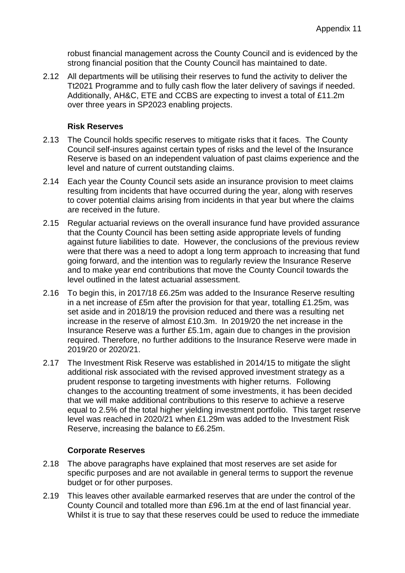robust financial management across the County Council and is evidenced by the strong financial position that the County Council has maintained to date.

2.12 All departments will be utilising their reserves to fund the activity to deliver the Tt2021 Programme and to fully cash flow the later delivery of savings if needed. Additionally, AH&C, ETE and CCBS are expecting to invest a total of £11.2m over three years in SP2023 enabling projects.

#### **Risk Reserves**

- 2.13 The Council holds specific reserves to mitigate risks that it faces. The County Council self-insures against certain types of risks and the level of the Insurance Reserve is based on an independent valuation of past claims experience and the level and nature of current outstanding claims.
- 2.14 Each year the County Council sets aside an insurance provision to meet claims resulting from incidents that have occurred during the year, along with reserves to cover potential claims arising from incidents in that year but where the claims are received in the future.
- 2.15 Regular actuarial reviews on the overall insurance fund have provided assurance that the County Council has been setting aside appropriate levels of funding against future liabilities to date. However, the conclusions of the previous review were that there was a need to adopt a long term approach to increasing that fund going forward, and the intention was to regularly review the Insurance Reserve and to make year end contributions that move the County Council towards the level outlined in the latest actuarial assessment.
- 2.16 To begin this, in 2017/18 £6.25m was added to the Insurance Reserve resulting in a net increase of £5m after the provision for that year, totalling £1.25m, was set aside and in 2018/19 the provision reduced and there was a resulting net increase in the reserve of almost £10.3m. In 2019/20 the net increase in the Insurance Reserve was a further £5.1m, again due to changes in the provision required. Therefore, no further additions to the Insurance Reserve were made in 2019/20 or 2020/21.
- 2.17 The Investment Risk Reserve was established in 2014/15 to mitigate the slight additional risk associated with the revised approved investment strategy as a prudent response to targeting investments with higher returns. Following changes to the accounting treatment of some investments, it has been decided that we will make additional contributions to this reserve to achieve a reserve equal to 2.5% of the total higher yielding investment portfolio. This target reserve level was reached in 2020/21 when £1.29m was added to the Investment Risk Reserve, increasing the balance to £6.25m.

# **Corporate Reserves**

- 2.18 The above paragraphs have explained that most reserves are set aside for specific purposes and are not available in general terms to support the revenue budget or for other purposes.
- 2.19 This leaves other available earmarked reserves that are under the control of the County Council and totalled more than £96.1m at the end of last financial year. Whilst it is true to say that these reserves could be used to reduce the immediate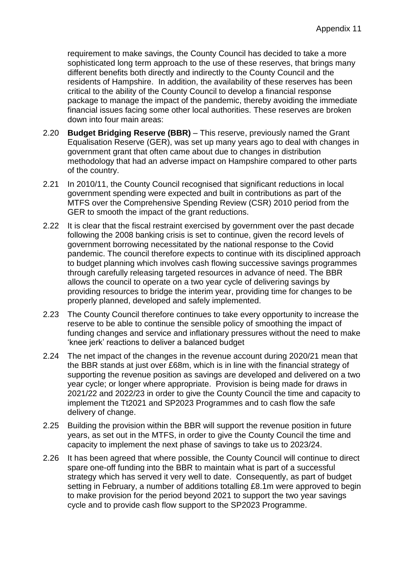requirement to make savings, the County Council has decided to take a more sophisticated long term approach to the use of these reserves, that brings many different benefits both directly and indirectly to the County Council and the residents of Hampshire. In addition, the availability of these reserves has been critical to the ability of the County Council to develop a financial response package to manage the impact of the pandemic, thereby avoiding the immediate financial issues facing some other local authorities. These reserves are broken down into four main areas:

- 2.20 **Budget Bridging Reserve (BBR)**  This reserve, previously named the Grant Equalisation Reserve (GER), was set up many years ago to deal with changes in government grant that often came about due to changes in distribution methodology that had an adverse impact on Hampshire compared to other parts of the country.
- 2.21 In 2010/11, the County Council recognised that significant reductions in local government spending were expected and built in contributions as part of the MTFS over the Comprehensive Spending Review (CSR) 2010 period from the GER to smooth the impact of the grant reductions.
- 2.22 It is clear that the fiscal restraint exercised by government over the past decade following the 2008 banking crisis is set to continue, given the record levels of government borrowing necessitated by the national response to the Covid pandemic. The council therefore expects to continue with its disciplined approach to budget planning which involves cash flowing successive savings programmes through carefully releasing targeted resources in advance of need. The BBR allows the council to operate on a two year cycle of delivering savings by providing resources to bridge the interim year, providing time for changes to be properly planned, developed and safely implemented.
- 2.23 The County Council therefore continues to take every opportunity to increase the reserve to be able to continue the sensible policy of smoothing the impact of funding changes and service and inflationary pressures without the need to make 'knee jerk' reactions to deliver a balanced budget
- 2.24 The net impact of the changes in the revenue account during 2020/21 mean that the BBR stands at just over £68m, which is in line with the financial strategy of supporting the revenue position as savings are developed and delivered on a two year cycle; or longer where appropriate. Provision is being made for draws in 2021/22 and 2022/23 in order to give the County Council the time and capacity to implement the Tt2021 and SP2023 Programmes and to cash flow the safe delivery of change.
- 2.25 Building the provision within the BBR will support the revenue position in future years, as set out in the MTFS, in order to give the County Council the time and capacity to implement the next phase of savings to take us to 2023/24.
- 2.26 It has been agreed that where possible, the County Council will continue to direct spare one-off funding into the BBR to maintain what is part of a successful strategy which has served it very well to date. Consequently, as part of budget setting in February, a number of additions totalling £8.1m were approved to begin to make provision for the period beyond 2021 to support the two year savings cycle and to provide cash flow support to the SP2023 Programme.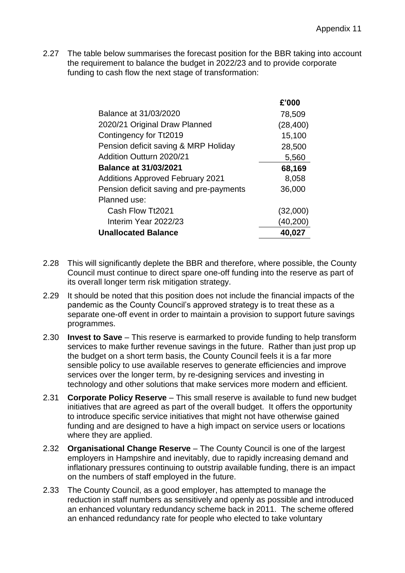2.27 The table below summarises the forecast position for the BBR taking into account the requirement to balance the budget in 2022/23 and to provide corporate funding to cash flow the next stage of transformation:

|                                         | £'000     |
|-----------------------------------------|-----------|
| Balance at 31/03/2020                   | 78,509    |
| 2020/21 Original Draw Planned           | (28, 400) |
| Contingency for Tt2019                  | 15,100    |
| Pension deficit saving & MRP Holiday    | 28,500    |
| Addition Outturn 2020/21                | 5,560     |
| <b>Balance at 31/03/2021</b>            | 68,169    |
| <b>Additions Approved February 2021</b> | 8,058     |
| Pension deficit saving and pre-payments | 36,000    |
| Planned use:                            |           |
| Cash Flow Tt2021                        | (32,000)  |
| Interim Year 2022/23                    | (40, 200) |
| <b>Unallocated Balance</b>              | 40,027    |

- 2.28 This will significantly deplete the BBR and therefore, where possible, the County Council must continue to direct spare one-off funding into the reserve as part of its overall longer term risk mitigation strategy.
- 2.29 It should be noted that this position does not include the financial impacts of the pandemic as the County Council's approved strategy is to treat these as a separate one-off event in order to maintain a provision to support future savings programmes.
- 2.30 **Invest to Save** This reserve is earmarked to provide funding to help transform services to make further revenue savings in the future. Rather than just prop up the budget on a short term basis, the County Council feels it is a far more sensible policy to use available reserves to generate efficiencies and improve services over the longer term, by re-designing services and investing in technology and other solutions that make services more modern and efficient.
- 2.31 **Corporate Policy Reserve** This small reserve is available to fund new budget initiatives that are agreed as part of the overall budget. It offers the opportunity to introduce specific service initiatives that might not have otherwise gained funding and are designed to have a high impact on service users or locations where they are applied.
- 2.32 **Organisational Change Reserve** The County Council is one of the largest employers in Hampshire and inevitably, due to rapidly increasing demand and inflationary pressures continuing to outstrip available funding, there is an impact on the numbers of staff employed in the future.
- 2.33 The County Council, as a good employer, has attempted to manage the reduction in staff numbers as sensitively and openly as possible and introduced an enhanced voluntary redundancy scheme back in 2011. The scheme offered an enhanced redundancy rate for people who elected to take voluntary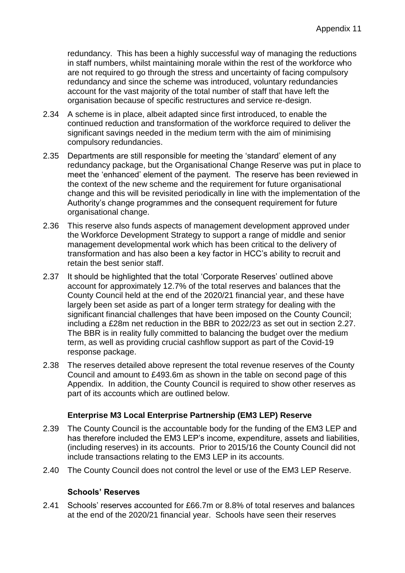redundancy. This has been a highly successful way of managing the reductions in staff numbers, whilst maintaining morale within the rest of the workforce who are not required to go through the stress and uncertainty of facing compulsory redundancy and since the scheme was introduced, voluntary redundancies account for the vast majority of the total number of staff that have left the organisation because of specific restructures and service re-design.

- 2.34 A scheme is in place, albeit adapted since first introduced, to enable the continued reduction and transformation of the workforce required to deliver the significant savings needed in the medium term with the aim of minimising compulsory redundancies.
- 2.35 Departments are still responsible for meeting the 'standard' element of any redundancy package, but the Organisational Change Reserve was put in place to meet the 'enhanced' element of the payment. The reserve has been reviewed in the context of the new scheme and the requirement for future organisational change and this will be revisited periodically in line with the implementation of the Authority's change programmes and the consequent requirement for future organisational change.
- 2.36 This reserve also funds aspects of management development approved under the Workforce Development Strategy to support a range of middle and senior management developmental work which has been critical to the delivery of transformation and has also been a key factor in HCC's ability to recruit and retain the best senior staff.
- 2.37 It should be highlighted that the total 'Corporate Reserves' outlined above account for approximately 12.7% of the total reserves and balances that the County Council held at the end of the 2020/21 financial year, and these have largely been set aside as part of a longer term strategy for dealing with the significant financial challenges that have been imposed on the County Council; including a £28m net reduction in the BBR to 2022/23 as set out in section 2.27. The BBR is in reality fully committed to balancing the budget over the medium term, as well as providing crucial cashflow support as part of the Covid-19 response package.
- 2.38 The reserves detailed above represent the total revenue reserves of the County Council and amount to £493.6m as shown in the table on second page of this Appendix. In addition, the County Council is required to show other reserves as part of its accounts which are outlined below.

# **Enterprise M3 Local Enterprise Partnership (EM3 LEP) Reserve**

- 2.39 The County Council is the accountable body for the funding of the EM3 LEP and has therefore included the EM3 LEP's income, expenditure, assets and liabilities, (including reserves) in its accounts. Prior to 2015/16 the County Council did not include transactions relating to the EM3 LEP in its accounts.
- 2.40 The County Council does not control the level or use of the EM3 LEP Reserve.

#### **Schools' Reserves**

2.41 Schools' reserves accounted for £66.7m or 8.8% of total reserves and balances at the end of the 2020/21 financial year. Schools have seen their reserves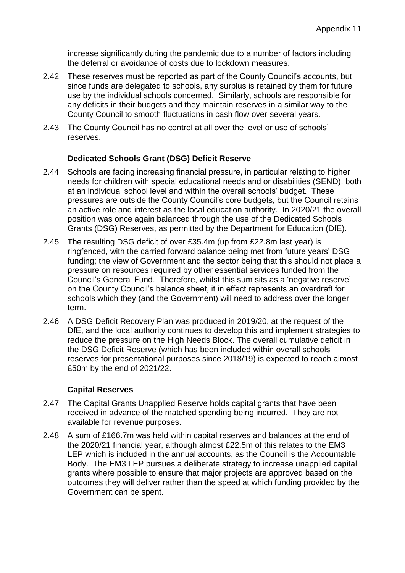increase significantly during the pandemic due to a number of factors including the deferral or avoidance of costs due to lockdown measures.

- 2.42 These reserves must be reported as part of the County Council's accounts, but since funds are delegated to schools, any surplus is retained by them for future use by the individual schools concerned. Similarly, schools are responsible for any deficits in their budgets and they maintain reserves in a similar way to the County Council to smooth fluctuations in cash flow over several years.
- 2.43 The County Council has no control at all over the level or use of schools' reserves.

### **Dedicated Schools Grant (DSG) Deficit Reserve**

- 2.44 Schools are facing increasing financial pressure, in particular relating to higher needs for children with special educational needs and or disabilities (SEND), both at an individual school level and within the overall schools' budget. These pressures are outside the County Council's core budgets, but the Council retains an active role and interest as the local education authority. In 2020/21 the overall position was once again balanced through the use of the Dedicated Schools Grants (DSG) Reserves, as permitted by the Department for Education (DfE).
- 2.45 The resulting DSG deficit of over £35.4m (up from £22.8m last year) is ringfenced, with the carried forward balance being met from future years' DSG funding; the view of Government and the sector being that this should not place a pressure on resources required by other essential services funded from the Council's General Fund. Therefore, whilst this sum sits as a 'negative reserve' on the County Council's balance sheet, it in effect represents an overdraft for schools which they (and the Government) will need to address over the longer term.
- 2.46 A DSG Deficit Recovery Plan was produced in 2019/20, at the request of the DfE, and the local authority continues to develop this and implement strategies to reduce the pressure on the High Needs Block. The overall cumulative deficit in the DSG Deficit Reserve (which has been included within overall schools' reserves for presentational purposes since 2018/19) is expected to reach almost £50m by the end of 2021/22.

# **Capital Reserves**

- 2.47 The Capital Grants Unapplied Reserve holds capital grants that have been received in advance of the matched spending being incurred. They are not available for revenue purposes.
- 2.48 A sum of £166.7m was held within capital reserves and balances at the end of the 2020/21 financial year, although almost £22.5m of this relates to the EM3 LEP which is included in the annual accounts, as the Council is the Accountable Body. The EM3 LEP pursues a deliberate strategy to increase unapplied capital grants where possible to ensure that major projects are approved based on the outcomes they will deliver rather than the speed at which funding provided by the Government can be spent.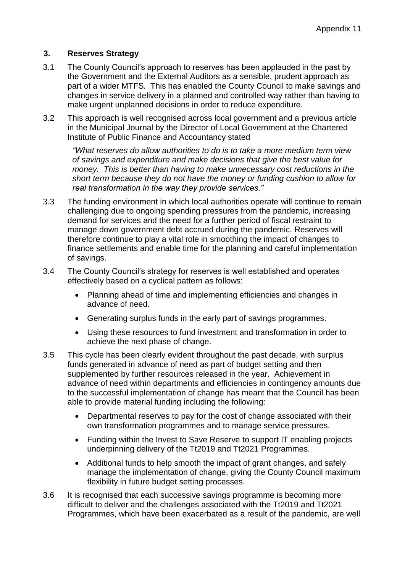# **3. Reserves Strategy**

- 3.1 The County Council's approach to reserves has been applauded in the past by the Government and the External Auditors as a sensible, prudent approach as part of a wider MTFS. This has enabled the County Council to make savings and changes in service delivery in a planned and controlled way rather than having to make urgent unplanned decisions in order to reduce expenditure.
- 3.2 This approach is well recognised across local government and a previous article in the Municipal Journal by the Director of Local Government at the Chartered Institute of Public Finance and Accountancy stated

*"What reserves do allow authorities to do is to take a more medium term view of savings and expenditure and make decisions that give the best value for money. This is better than having to make unnecessary cost reductions in the short term because they do not have the money or funding cushion to allow for real transformation in the way they provide services."*

- 3.3 The funding environment in which local authorities operate will continue to remain challenging due to ongoing spending pressures from the pandemic, increasing demand for services and the need for a further period of fiscal restraint to manage down government debt accrued during the pandemic. Reserves will therefore continue to play a vital role in smoothing the impact of changes to finance settlements and enable time for the planning and careful implementation of savings.
- 3.4 The County Council's strategy for reserves is well established and operates effectively based on a cyclical pattern as follows:
	- Planning ahead of time and implementing efficiencies and changes in advance of need.
	- Generating surplus funds in the early part of savings programmes.
	- Using these resources to fund investment and transformation in order to achieve the next phase of change.
- 3.5 This cycle has been clearly evident throughout the past decade, with surplus funds generated in advance of need as part of budget setting and then supplemented by further resources released in the year. Achievement in advance of need within departments and efficiencies in contingency amounts due to the successful implementation of change has meant that the Council has been able to provide material funding including the following:
	- Departmental reserves to pay for the cost of change associated with their own transformation programmes and to manage service pressures.
	- Funding within the Invest to Save Reserve to support IT enabling projects underpinning delivery of the Tt2019 and Tt2021 Programmes.
	- Additional funds to help smooth the impact of grant changes, and safely manage the implementation of change, giving the County Council maximum flexibility in future budget setting processes.
- 3.6 It is recognised that each successive savings programme is becoming more difficult to deliver and the challenges associated with the Tt2019 and Tt2021 Programmes, which have been exacerbated as a result of the pandemic, are well